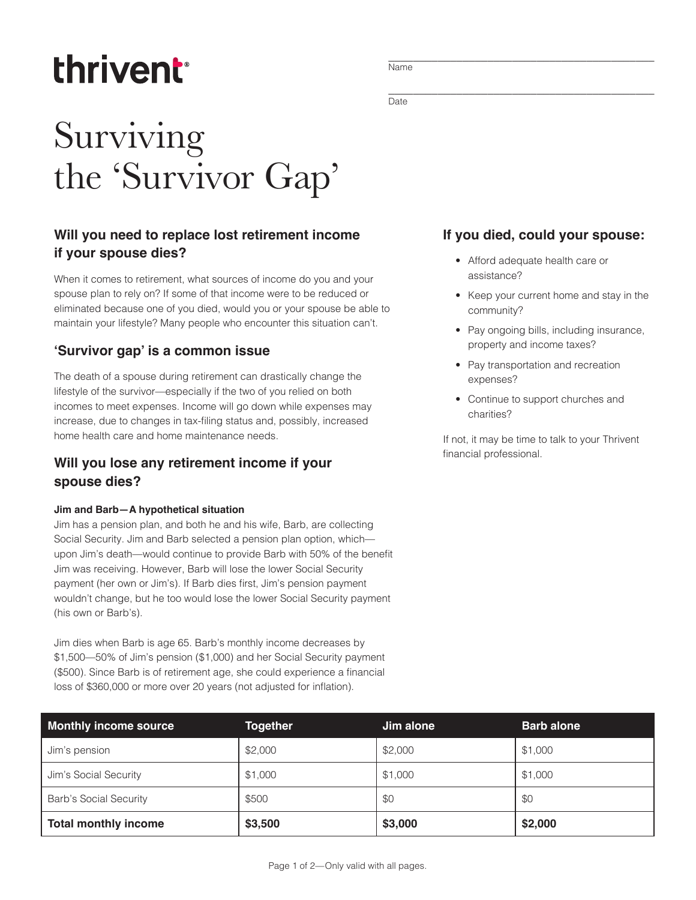# thrivent

## Surviving the 'Survivor Gap'

### **Will you need to replace lost retirement income if your spouse dies?**

When it comes to retirement, what sources of income do you and your spouse plan to rely on? If some of that income were to be reduced or eliminated because one of you died, would you or your spouse be able to maintain your lifestyle? Many people who encounter this situation can't.

#### **'Survivor gap' is a common issue**

The death of a spouse during retirement can drastically change the lifestyle of the survivor—especially if the two of you relied on both incomes to meet expenses. Income will go down while expenses may increase, due to changes in tax-filing status and, possibly, increased home health care and home maintenance needs.

#### **Will you lose any retirement income if your spouse dies?**

#### **Jim and Barb—A hypothetical situation**

Jim has a pension plan, and both he and his wife, Barb, are collecting Social Security. Jim and Barb selected a pension plan option, which upon Jim's death—would continue to provide Barb with 50% of the benefit Jim was receiving. However, Barb will lose the lower Social Security payment (her own or Jim's). If Barb dies first, Jim's pension payment wouldn't change, but he too would lose the lower Social Security payment (his own or Barb's).

Jim dies when Barb is age 65. Barb's monthly income decreases by \$1,500—50% of Jim's pension (\$1,000) and her Social Security payment (\$500). Since Barb is of retirement age, she could experience a financial loss of \$360,000 or more over 20 years (not adjusted for inflation).

\_\_\_\_\_\_\_\_\_\_\_\_\_\_\_\_\_\_\_\_\_\_\_\_\_\_\_\_\_\_\_\_\_\_\_\_\_\_\_\_\_\_\_ Name

\_\_\_\_\_\_\_\_\_\_\_\_\_\_\_\_\_\_\_\_\_\_\_\_\_\_\_\_\_\_\_\_\_\_\_\_\_\_\_\_\_\_\_ **Date** 

#### **If you died, could your spouse:**

- Afford adequate health care or assistance?
- Keep your current home and stay in the community?
- Pay ongoing bills, including insurance, property and income taxes?
- Pay transportation and recreation expenses?
- Continue to support churches and charities?

If not, it may be time to talk to your Thrivent financial professional.

| <b>Monthly income source</b>  | <b>Together</b> | Jim alone | <b>Barb alone</b> |
|-------------------------------|-----------------|-----------|-------------------|
| Jim's pension                 | \$2,000         | \$2,000   | \$1,000           |
| Jim's Social Security         | \$1,000         | \$1,000   | \$1,000           |
| <b>Barb's Social Security</b> | \$500           | \$0       | \$0               |
| <b>Total monthly income</b>   | \$3,500         | \$3,000   | \$2,000           |